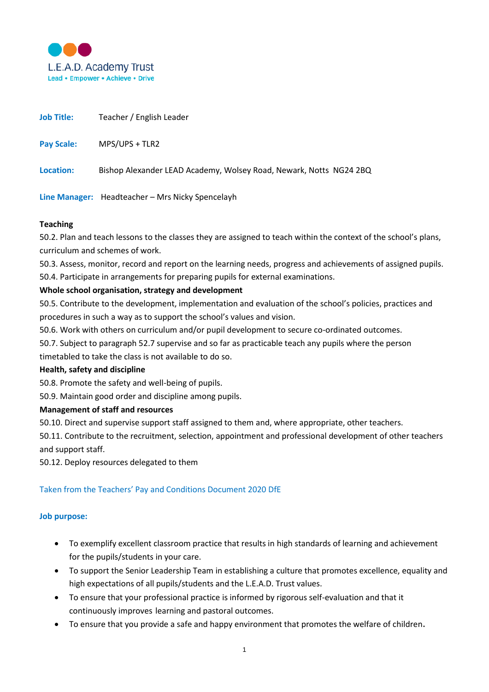

| <b>Job Title:</b> | Teacher / English Leader                                           |
|-------------------|--------------------------------------------------------------------|
| <b>Pay Scale:</b> | MPS/UPS + TLR2                                                     |
| Location:         | Bishop Alexander LEAD Academy, Wolsey Road, Newark, Notts NG24 2BQ |

**Line Manager:** Headteacher – Mrs Nicky Spencelayh

#### **Teaching**

50.2. Plan and teach lessons to the classes they are assigned to teach within the context of the school's plans, curriculum and schemes of work.

50.3. Assess, monitor, record and report on the learning needs, progress and achievements of assigned pupils. 50.4. Participate in arrangements for preparing pupils for external examinations.

#### **Whole school organisation, strategy and development**

50.5. Contribute to the development, implementation and evaluation of the school's policies, practices and procedures in such a way as to support the school's values and vision.

50.6. Work with others on curriculum and/or pupil development to secure co-ordinated outcomes.

50.7. Subject to paragraph 52.7 supervise and so far as practicable teach any pupils where the person

timetabled to take the class is not available to do so.

#### **Health, safety and discipline**

50.8. Promote the safety and well-being of pupils.

50.9. Maintain good order and discipline among pupils.

#### **Management of staff and resources**

50.10. Direct and supervise support staff assigned to them and, where appropriate, other teachers.

50.11. Contribute to the recruitment, selection, appointment and professional development of other teachers and support staff.

50.12. Deploy resources delegated to them

## Taken from the Teachers' Pay and Conditions Document 2020 DfE

#### **Job purpose:**

- To exemplify excellent classroom practice that results in high standards of learning and achievement for the pupils/students in your care.
- To support the Senior Leadership Team in establishing a culture that promotes excellence, equality and high expectations of all pupils/students and the L.E.A.D. Trust values.
- To ensure that your professional practice is informed by rigorous self-evaluation and that it continuously improves learning and pastoral outcomes.
- To ensure that you provide a safe and happy environment that promotes the welfare of children.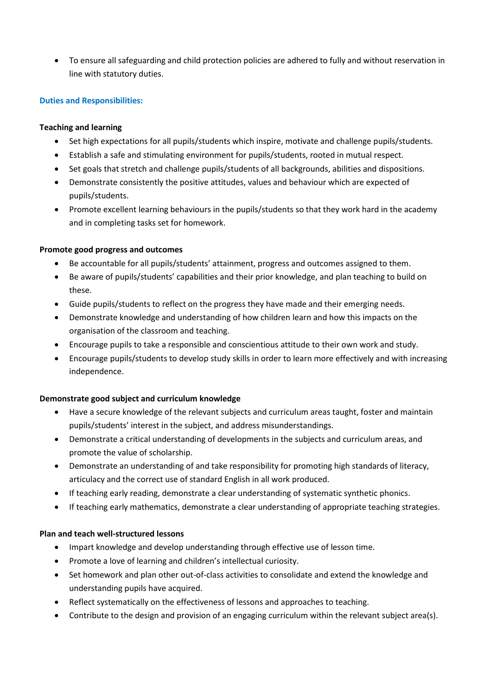• To ensure all safeguarding and child protection policies are adhered to fully and without reservation in line with statutory duties.

# **Duties and Responsibilities:**

## **Teaching and learning**

- Set high expectations for all pupils/students which inspire, motivate and challenge pupils/students.
- Establish a safe and stimulating environment for pupils/students, rooted in mutual respect.
- Set goals that stretch and challenge pupils/students of all backgrounds, abilities and dispositions.
- Demonstrate consistently the positive attitudes, values and behaviour which are expected of pupils/students.
- Promote excellent learning behaviours in the pupils/students so that they work hard in the academy and in completing tasks set for homework.

## **Promote good progress and outcomes**

- Be accountable for all pupils/students' attainment, progress and outcomes assigned to them.
- Be aware of pupils/students' capabilities and their prior knowledge, and plan teaching to build on these.
- Guide pupils/students to reflect on the progress they have made and their emerging needs.
- Demonstrate knowledge and understanding of how children learn and how this impacts on the organisation of the classroom and teaching.
- Encourage pupils to take a responsible and conscientious attitude to their own work and study.
- Encourage pupils/students to develop study skills in order to learn more effectively and with increasing independence.

## **Demonstrate good subject and curriculum knowledge**

- Have a secure knowledge of the relevant subjects and curriculum areas taught, foster and maintain pupils/students' interest in the subject, and address misunderstandings.
- Demonstrate a critical understanding of developments in the subjects and curriculum areas, and promote the value of scholarship.
- Demonstrate an understanding of and take responsibility for promoting high standards of literacy, articulacy and the correct use of standard English in all work produced.
- If teaching early reading, demonstrate a clear understanding of systematic synthetic phonics.
- If teaching early mathematics, demonstrate a clear understanding of appropriate teaching strategies.

## **Plan and teach well-structured lessons**

- Impart knowledge and develop understanding through effective use of lesson time.
- Promote a love of learning and children's intellectual curiosity.
- Set homework and plan other out-of-class activities to consolidate and extend the knowledge and understanding pupils have acquired.
- Reflect systematically on the effectiveness of lessons and approaches to teaching.
- Contribute to the design and provision of an engaging curriculum within the relevant subject area(s).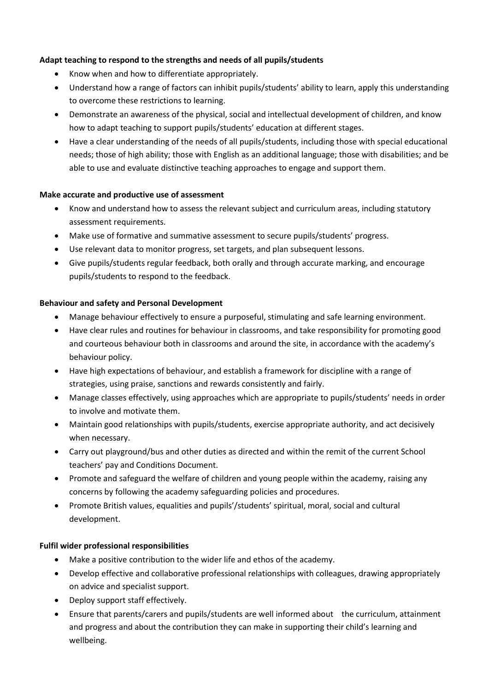# **Adapt teaching to respond to the strengths and needs of all pupils/students**

- Know when and how to differentiate appropriately.
- Understand how a range of factors can inhibit pupils/students' ability to learn, apply this understanding to overcome these restrictions to learning.
- Demonstrate an awareness of the physical, social and intellectual development of children, and know how to adapt teaching to support pupils/students' education at different stages.
- Have a clear understanding of the needs of all pupils/students, including those with special educational needs; those of high ability; those with English as an additional language; those with disabilities; and be able to use and evaluate distinctive teaching approaches to engage and support them.

## **Make accurate and productive use of assessment**

- Know and understand how to assess the relevant subject and curriculum areas, including statutory assessment requirements.
- Make use of formative and summative assessment to secure pupils/students' progress.
- Use relevant data to monitor progress, set targets, and plan subsequent lessons.
- Give pupils/students regular feedback, both orally and through accurate marking, and encourage pupils/students to respond to the feedback.

#### **Behaviour and safety and Personal Development**

- Manage behaviour effectively to ensure a purposeful, stimulating and safe learning environment.
- Have clear rules and routines for behaviour in classrooms, and take responsibility for promoting good and courteous behaviour both in classrooms and around the site, in accordance with the academy's behaviour policy.
- Have high expectations of behaviour, and establish a framework for discipline with a range of strategies, using praise, sanctions and rewards consistently and fairly.
- Manage classes effectively, using approaches which are appropriate to pupils/students' needs in order to involve and motivate them.
- Maintain good relationships with pupils/students, exercise appropriate authority, and act decisively when necessary.
- Carry out playground/bus and other duties as directed and within the remit of the current School teachers' pay and Conditions Document.
- Promote and safeguard the welfare of children and young people within the academy, raising any concerns by following the academy safeguarding policies and procedures.
- Promote British values, equalities and pupils'/students' spiritual, moral, social and cultural development.

## **Fulfil wider professional responsibilities**

- Make a positive contribution to the wider life and ethos of the academy.
- Develop effective and collaborative professional relationships with colleagues, drawing appropriately on advice and specialist support.
- Deploy support staff effectively.
- Ensure that parents/carers and pupils/students are well informed about the curriculum, attainment and progress and about the contribution they can make in supporting their child's learning and wellbeing.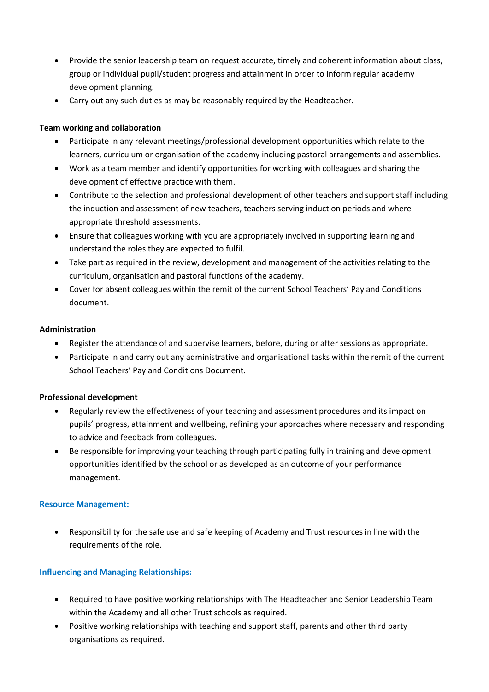- Provide the senior leadership team on request accurate, timely and coherent information about class, group or individual pupil/student progress and attainment in order to inform regular academy development planning.
- Carry out any such duties as may be reasonably required by the Headteacher.

# **Team working and collaboration**

- Participate in any relevant meetings/professional development opportunities which relate to the learners, curriculum or organisation of the academy including pastoral arrangements and assemblies.
- Work as a team member and identify opportunities for working with colleagues and sharing the development of effective practice with them.
- Contribute to the selection and professional development of other teachers and support staff including the induction and assessment of new teachers, teachers serving induction periods and where appropriate threshold assessments.
- Ensure that colleagues working with you are appropriately involved in supporting learning and understand the roles they are expected to fulfil.
- Take part as required in the review, development and management of the activities relating to the curriculum, organisation and pastoral functions of the academy.
- Cover for absent colleagues within the remit of the current School Teachers' Pay and Conditions document.

## **Administration**

- Register the attendance of and supervise learners, before, during or after sessions as appropriate.
- Participate in and carry out any administrative and organisational tasks within the remit of the current School Teachers' Pay and Conditions Document.

## **Professional development**

- Regularly review the effectiveness of your teaching and assessment procedures and its impact on pupils' progress, attainment and wellbeing, refining your approaches where necessary and responding to advice and feedback from colleagues.
- Be responsible for improving your teaching through participating fully in training and development opportunities identified by the school or as developed as an outcome of your performance management.

## **Resource Management:**

• Responsibility for the safe use and safe keeping of Academy and Trust resources in line with the requirements of the role.

## **Influencing and Managing Relationships:**

- Required to have positive working relationships with The Headteacher and Senior Leadership Team within the Academy and all other Trust schools as required.
- Positive working relationships with teaching and support staff, parents and other third party organisations as required.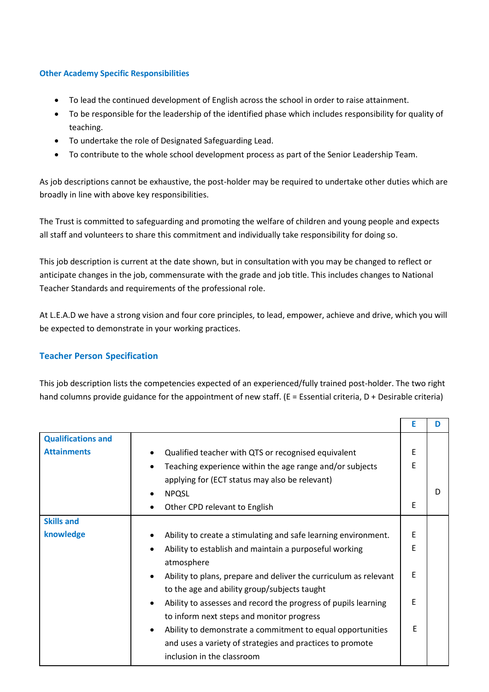# **Other Academy Specific Responsibilities**

- To lead the continued development of English across the school in order to raise attainment.
- To be responsible for the leadership of the identified phase which includes responsibility for quality of teaching.
- To undertake the role of Designated Safeguarding Lead.
- To contribute to the whole school development process as part of the Senior Leadership Team.

As job descriptions cannot be exhaustive, the post-holder may be required to undertake other duties which are broadly in line with above key responsibilities.

The Trust is committed to safeguarding and promoting the welfare of children and young people and expects all staff and volunteers to share this commitment and individually take responsibility for doing so.

This job description is current at the date shown, but in consultation with you may be changed to reflect or anticipate changes in the job, commensurate with the grade and job title. This includes changes to National Teacher Standards and requirements of the professional role.

At L.E.A.D we have a strong vision and four core principles, to lead, empower, achieve and drive, which you will be expected to demonstrate in your working practices.

## **Teacher Person Specification**

This job description lists the competencies expected of an experienced/fully trained post-holder. The two right hand columns provide guidance for the appointment of new staff. ( $E = E$ ssential criteria,  $D + D$ esirable criteria)

|                           |                                                                                                                               | E | D |
|---------------------------|-------------------------------------------------------------------------------------------------------------------------------|---|---|
| <b>Qualifications and</b> |                                                                                                                               |   |   |
| <b>Attainments</b>        | Qualified teacher with QTS or recognised equivalent                                                                           | E |   |
|                           | Teaching experience within the age range and/or subjects                                                                      | E |   |
|                           | applying for (ECT status may also be relevant)                                                                                |   |   |
|                           | <b>NPQSL</b>                                                                                                                  |   |   |
|                           | Other CPD relevant to English                                                                                                 | E |   |
| <b>Skills and</b>         |                                                                                                                               |   |   |
| knowledge                 | Ability to create a stimulating and safe learning environment.                                                                | E |   |
|                           | Ability to establish and maintain a purposeful working<br>atmosphere                                                          | E |   |
|                           | Ability to plans, prepare and deliver the curriculum as relevant<br>$\bullet$<br>to the age and ability group/subjects taught | E |   |
|                           | Ability to assesses and record the progress of pupils learning<br>$\bullet$<br>to inform next steps and monitor progress      | E |   |
|                           | Ability to demonstrate a commitment to equal opportunities<br>$\bullet$                                                       | E |   |
|                           | and uses a variety of strategies and practices to promote                                                                     |   |   |
|                           | inclusion in the classroom                                                                                                    |   |   |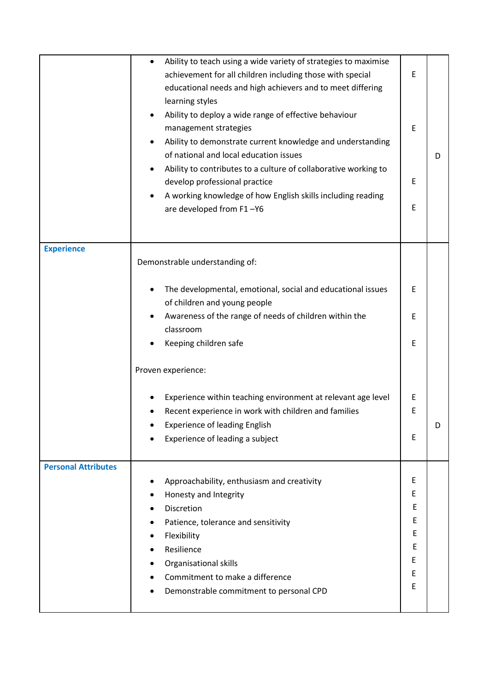|                            | Ability to teach using a wide variety of strategies to maximise<br>$\bullet$<br>achievement for all children including those with special<br>educational needs and high achievers and to meet differing<br>learning styles<br>Ability to deploy a wide range of effective behaviour<br>management strategies<br>Ability to demonstrate current knowledge and understanding<br>of national and local education issues<br>Ability to contributes to a culture of collaborative working to<br>develop professional practice<br>A working knowledge of how English skills including reading<br>are developed from F1-Y6 | Е<br>E<br>Ε<br>E | D |
|----------------------------|---------------------------------------------------------------------------------------------------------------------------------------------------------------------------------------------------------------------------------------------------------------------------------------------------------------------------------------------------------------------------------------------------------------------------------------------------------------------------------------------------------------------------------------------------------------------------------------------------------------------|------------------|---|
|                            |                                                                                                                                                                                                                                                                                                                                                                                                                                                                                                                                                                                                                     |                  |   |
| <b>Experience</b>          | Demonstrable understanding of:                                                                                                                                                                                                                                                                                                                                                                                                                                                                                                                                                                                      |                  |   |
|                            | The developmental, emotional, social and educational issues<br>of children and young people                                                                                                                                                                                                                                                                                                                                                                                                                                                                                                                         | E                |   |
|                            | Awareness of the range of needs of children within the<br>classroom                                                                                                                                                                                                                                                                                                                                                                                                                                                                                                                                                 | E                |   |
|                            | Keeping children safe                                                                                                                                                                                                                                                                                                                                                                                                                                                                                                                                                                                               | E                |   |
|                            | Proven experience:                                                                                                                                                                                                                                                                                                                                                                                                                                                                                                                                                                                                  |                  |   |
|                            | Experience within teaching environment at relevant age level                                                                                                                                                                                                                                                                                                                                                                                                                                                                                                                                                        | Ε                |   |
|                            | Recent experience in work with children and families                                                                                                                                                                                                                                                                                                                                                                                                                                                                                                                                                                | Е                |   |
|                            | <b>Experience of leading English</b>                                                                                                                                                                                                                                                                                                                                                                                                                                                                                                                                                                                |                  | D |
|                            | Experience of leading a subject                                                                                                                                                                                                                                                                                                                                                                                                                                                                                                                                                                                     | E                |   |
| <b>Personal Attributes</b> |                                                                                                                                                                                                                                                                                                                                                                                                                                                                                                                                                                                                                     |                  |   |
|                            | Approachability, enthusiasm and creativity                                                                                                                                                                                                                                                                                                                                                                                                                                                                                                                                                                          | E<br>Е           |   |
|                            | Honesty and Integrity<br>Discretion                                                                                                                                                                                                                                                                                                                                                                                                                                                                                                                                                                                 | E                |   |
|                            | Patience, tolerance and sensitivity                                                                                                                                                                                                                                                                                                                                                                                                                                                                                                                                                                                 | Ε                |   |
|                            | Flexibility                                                                                                                                                                                                                                                                                                                                                                                                                                                                                                                                                                                                         | E                |   |
|                            | Resilience                                                                                                                                                                                                                                                                                                                                                                                                                                                                                                                                                                                                          | E                |   |
|                            | Organisational skills                                                                                                                                                                                                                                                                                                                                                                                                                                                                                                                                                                                               | Е                |   |
|                            | Commitment to make a difference                                                                                                                                                                                                                                                                                                                                                                                                                                                                                                                                                                                     | Е<br>E           |   |
|                            | Demonstrable commitment to personal CPD                                                                                                                                                                                                                                                                                                                                                                                                                                                                                                                                                                             |                  |   |